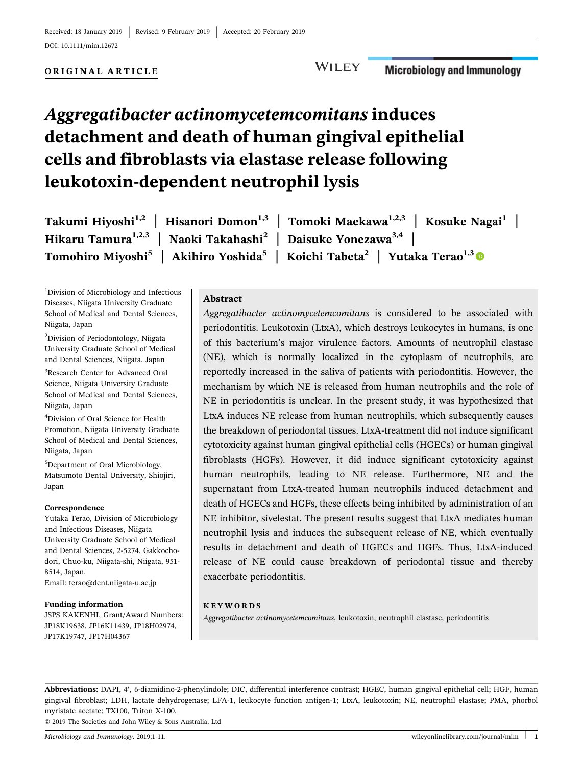DOI: 10.1111/mim.12672

#### ORIGINAL ARTICLE

#### **WILEY Microbiology and Immunology**

# Aggregatibacter actinomycetemcomitans induces detachment and death of human gingival epithelial cells and fibroblasts via elastase release following leukotoxin‐dependent neutrophil lysis

Takumi Hiyoshi<sup>1,2</sup> | Hisanori Domon<sup>1,3</sup> | Tomoki Maekawa<sup>1,2,3</sup> | Kosuke Nagai<sup>1</sup> | Hikaru Tamura<sup>1,2,3</sup> | Naoki Takahashi<sup>2</sup> | Daisuke Yonezawa<sup>3,4</sup> | Tomohiro Miyoshi<sup>5</sup> | Akihiro Yoshida<sup>5</sup> | Koichi Tabeta<sup>2</sup> | Yutaka Terao<sup>1,[3](http://orcid.org/0000-0002-4450-5583)</sup>

1 Division of Microbiology and Infectious Diseases, Niigata University Graduate School of Medical and Dental Sciences, Niigata, Japan

2 Division of Periodontology, Niigata University Graduate School of Medical and Dental Sciences, Niigata, Japan

3 Research Center for Advanced Oral Science, Niigata University Graduate School of Medical and Dental Sciences, Niigata, Japan

4 Division of Oral Science for Health Promotion, Niigata University Graduate School of Medical and Dental Sciences, Niigata, Japan

5 Department of Oral Microbiology, Matsumoto Dental University, Shiojiri, Japan

#### Correspondence

Yutaka Terao, Division of Microbiology and Infectious Diseases, Niigata University Graduate School of Medical and Dental Sciences, 2‐5274, Gakkocho‐ dori, Chuo‐ku, Niigata‐shi, Niigata, 951‐ 8514, Japan. Email: terao@dent.niigata-u.ac.jp

#### Funding information

JSPS KAKENHI, Grant/Award Numbers: JP18K19638, JP16K11439, JP18H02974, JP17K19747, JP17H04367

#### Abstract

Aggregatibacter actinomycetemcomitans is considered to be associated with periodontitis. Leukotoxin (LtxA), which destroys leukocytes in humans, is one of this bacterium's major virulence factors. Amounts of neutrophil elastase (NE), which is normally localized in the cytoplasm of neutrophils, are reportedly increased in the saliva of patients with periodontitis. However, the mechanism by which NE is released from human neutrophils and the role of NE in periodontitis is unclear. In the present study, it was hypothesized that LtxA induces NE release from human neutrophils, which subsequently causes the breakdown of periodontal tissues. LtxA‐treatment did not induce significant cytotoxicity against human gingival epithelial cells (HGECs) or human gingival fibroblasts (HGFs). However, it did induce significant cytotoxicity against human neutrophils, leading to NE release. Furthermore, NE and the supernatant from LtxA‐treated human neutrophils induced detachment and death of HGECs and HGFs, these effects being inhibited by administration of an NE inhibitor, sivelestat. The present results suggest that LtxA mediates human neutrophil lysis and induces the subsequent release of NE, which eventually results in detachment and death of HGECs and HGFs. Thus, LtxA‐induced release of NE could cause breakdown of periodontal tissue and thereby exacerbate periodontitis.

#### KEYWORDS

Aggregatibacter actinomycetemcomitans, leukotoxin, neutrophil elastase, periodontitis

© 2019 The Societies and John Wiley & Sons Australia, Ltd Abbreviations: DAPI, 4', 6-diamidino-2-phenylindole; DIC, differential interference contrast; HGEC, human gingival epithelial cell; HGF, human gingival fibroblast; LDH, lactate dehydrogenase; LFA‐1, leukocyte function antigen‐1; LtxA, leukotoxin; NE, neutrophil elastase; PMA, phorbol myristate acetate; TX100, Triton X‐100.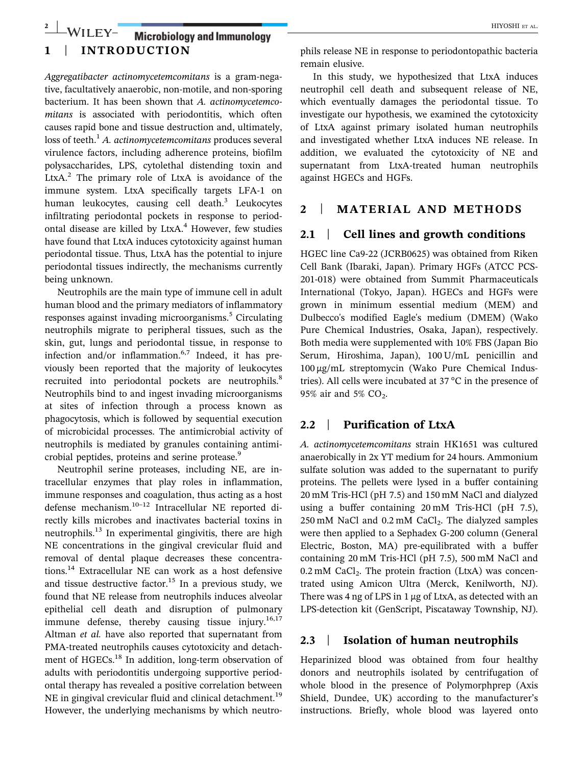## 1 | INTRODUCTION 2 | WILEY- Microbiology and Immunology | HIYOSHI ET AL.

Aggregatibacter actinomycetemcomitans is a gram‐negative, facultatively anaerobic, non‐motile, and non‐sporing bacterium. It has been shown that A. actinomycetemcomitans is associated with periodontitis, which often causes rapid bone and tissue destruction and, ultimately, loss of teeth.<sup>1</sup> A. actinomycetemcomitans produces several virulence factors, including adherence proteins, biofilm polysaccharides, LPS, cytolethal distending toxin and LtxA. $^2$  The primary role of LtxA is avoidance of the immune system. LtxA specifically targets LFA‐1 on human leukocytes, causing cell death. $3$  Leukocytes infiltrating periodontal pockets in response to periodontal disease are killed by LtxA.<sup>4</sup> However, few studies have found that LtxA induces cytotoxicity against human periodontal tissue. Thus, LtxA has the potential to injure periodontal tissues indirectly, the mechanisms currently being unknown.

Neutrophils are the main type of immune cell in adult human blood and the primary mediators of inflammatory responses against invading microorganisms.<sup>5</sup> Circulating neutrophils migrate to peripheral tissues, such as the skin, gut, lungs and periodontal tissue, in response to infection and/or inflammation. $6,7$  Indeed, it has previously been reported that the majority of leukocytes recruited into periodontal pockets are neutrophils.<sup>8</sup> Neutrophils bind to and ingest invading microorganisms at sites of infection through a process known as phagocytosis, which is followed by sequential execution of microbicidal processes. The antimicrobial activity of neutrophils is mediated by granules containing antimicrobial peptides, proteins and serine protease.<sup>9</sup>

Neutrophil serine proteases, including NE, are intracellular enzymes that play roles in inflammation, immune responses and coagulation, thus acting as a host defense mechanism.10–<sup>12</sup> Intracellular NE reported directly kills microbes and inactivates bacterial toxins in neutrophils. $^{13}$  In experimental gingivitis, there are high NE concentrations in the gingival crevicular fluid and removal of dental plaque decreases these concentrations.<sup>14</sup> Extracellular NE can work as a host defensive and tissue destructive factor.<sup>15</sup> In a previous study, we found that NE release from neutrophils induces alveolar epithelial cell death and disruption of pulmonary immune defense, thereby causing tissue injury. $16,17$ Altman et al. have also reported that supernatant from PMA‐treated neutrophils causes cytotoxicity and detachment of HGECs.<sup>18</sup> In addition, long-term observation of adults with periodontitis undergoing supportive periodontal therapy has revealed a positive correlation between NE in gingival crevicular fluid and clinical detachment.<sup>19</sup> However, the underlying mechanisms by which neutrophils release NE in response to periodontopathic bacteria remain elusive.

In this study, we hypothesized that LtxA induces neutrophil cell death and subsequent release of NE, which eventually damages the periodontal tissue. To investigate our hypothesis, we examined the cytotoxicity of LtxA against primary isolated human neutrophils and investigated whether LtxA induces NE release. In addition, we evaluated the cytotoxicity of NE and supernatant from LtxA‐treated human neutrophils against HGECs and HGFs.

### 2 | MATERIAL AND METHODS

#### 2.1 | Cell lines and growth conditions

HGEC line Ca9‐22 (JCRB0625) was obtained from Riken Cell Bank (Ibaraki, Japan). Primary HGFs (ATCC PCS‐ 201‐018) were obtained from Summit Pharmaceuticals International (Tokyo, Japan). HGECs and HGFs were grown in minimum essential medium (MEM) and Dulbecco's modified Eagle's medium (DMEM) (Wako Pure Chemical Industries, Osaka, Japan), respectively. Both media were supplemented with 10% FBS (Japan Bio Serum, Hiroshima, Japan), 100 U/mL penicillin and 100 μg/mL streptomycin (Wako Pure Chemical Industries). All cells were incubated at 37 °C in the presence of 95% air and 5%  $CO<sub>2</sub>$ .

#### 2.2 | Purification of LtxA

A. actinomycetemcomitans strain HK1651 was cultured anaerobically in 2x YT medium for 24 hours. Ammonium sulfate solution was added to the supernatant to purify proteins. The pellets were lysed in a buffer containing 20 mM Tris‐HCl (pH 7.5) and 150 mM NaCl and dialyzed using a buffer containing 20 mM Tris‐HCl (pH 7.5),  $250$  mM NaCl and  $0.2$  mM CaCl<sub>2</sub>. The dialyzed samples were then applied to a Sephadex G‐200 column (General Electric, Boston, MA) pre‐equilibrated with a buffer containing 20 mM Tris‐HCl (pH 7.5), 500 mM NaCl and  $0.2 \text{ mM }$  CaCl<sub>2</sub>. The protein fraction (LtxA) was concentrated using Amicon Ultra (Merck, Kenilworth, NJ). There was 4 ng of LPS in 1 μg of LtxA, as detected with an LPS‐detection kit (GenScript, Piscataway Township, NJ).

#### 2.3 | Isolation of human neutrophils

Heparinized blood was obtained from four healthy donors and neutrophils isolated by centrifugation of whole blood in the presence of Polymorphprep (Axis Shield, Dundee, UK) according to the manufacturer's instructions. Briefly, whole blood was layered onto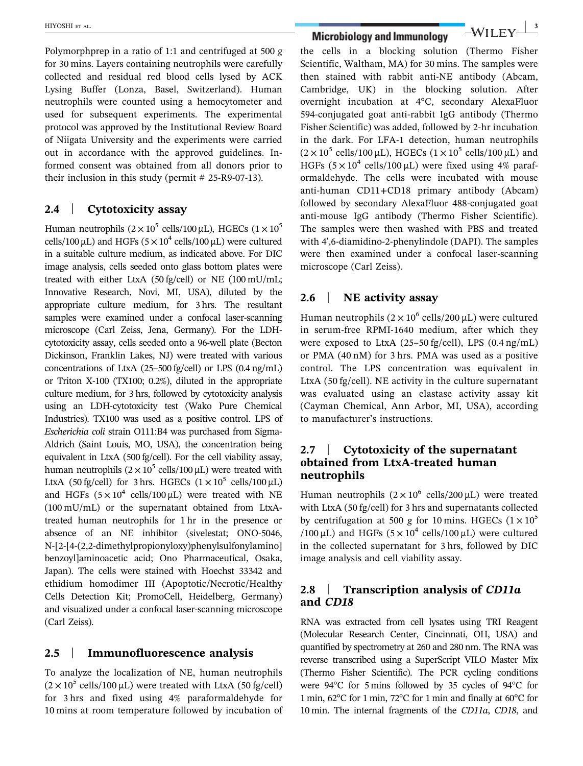Polymorphprep in a ratio of 1:1 and centrifuged at 500 g for 30 mins. Layers containing neutrophils were carefully collected and residual red blood cells lysed by ACK Lysing Buffer (Lonza, Basel, Switzerland). Human neutrophils were counted using a hemocytometer and used for subsequent experiments. The experimental protocol was approved by the Institutional Review Board of Niigata University and the experiments were carried out in accordance with the approved guidelines. Informed consent was obtained from all donors prior to their inclusion in this study (permit  $# 25-R9-07-13$ ).

#### 2.4 | Cytotoxicity assay

Human neutrophils  $(2 \times 10^5 \text{ cells}/100 \,\mu\text{L})$ , HGECs  $(1 \times 10^5 \text{ s})$ cells/100  $\mu$ L) and HGFs ( $5 \times 10^4$  cells/100  $\mu$ L) were cultured in a suitable culture medium, as indicated above. For DIC image analysis, cells seeded onto glass bottom plates were treated with either LtxA (50 fg/cell) or NE (100 mU/mL; Innovative Research, Novi, MI, USA), diluted by the appropriate culture medium, for 3 hrs. The resultant samples were examined under a confocal laser-scanning microscope (Carl Zeiss, Jena, Germany). For the LDH‐ cytotoxicity assay, cells seeded onto a 96‐well plate (Becton Dickinson, Franklin Lakes, NJ) were treated with various concentrations of LtxA (25–500 fg/cell) or LPS (0.4 ng/mL) or Triton X‐100 (TX100; 0.2%), diluted in the appropriate culture medium, for 3 hrs, followed by cytotoxicity analysis using an LDH‐cytotoxicity test (Wako Pure Chemical Industries). TX100 was used as a positive control. LPS of Escherichia coli strain O111:B4 was purchased from Sigma‐ Aldrich (Saint Louis, MO, USA), the concentration being equivalent in LtxA (500 fg/cell). For the cell viability assay, human neutrophils  $(2 \times 10^5 \text{ cells}/100 \mu\text{L})$  were treated with LtxA (50 fg/cell) for 3 hrs. HGECs  $(1 \times 10^5 \text{ cells}/100 \,\mu\text{L})$ and HGFs  $(5 \times 10^4 \text{ cells}/100 \,\mu\text{L})$  were treated with NE (100 mU/mL) or the supernatant obtained from LtxA‐ treated human neutrophils for 1 hr in the presence or absence of an NE inhibitor (sivelestat; ONO‐5046, N‐[2‐[4‐(2,2‐dimethylpropionyloxy)phenylsulfonylamino] benzoyl]aminoacetic acid; Ono Pharmaceutical, Osaka, Japan). The cells were stained with Hoechst 33342 and ethidium homodimer III (Apoptotic/Necrotic/Healthy Cells Detection Kit; PromoCell, Heidelberg, Germany) and visualized under a confocal laser‐scanning microscope (Carl Zeiss).

## 2.5 | Immunofluorescence analysis

To analyze the localization of NE, human neutrophils  $(2 \times 10^5 \text{ cells}/100 \,\mu\text{L})$  were treated with LtxA (50 fg/cell) for 3 hrs and fixed using 4% paraformaldehyde for 10 mins at room temperature followed by incubation of

HIYOSHI ET AL. **Microbiology and Immunology**  $-WILEY$ <sup>3</sup>

the cells in a blocking solution (Thermo Fisher Scientific, Waltham, MA) for 30 mins. The samples were then stained with rabbit anti-NE antibody (Abcam, Cambridge, UK) in the blocking solution. After overnight incubation at 4°C, secondary AlexaFluor 594‐conjugated goat anti‐rabbit IgG antibody (Thermo Fisher Scientific) was added, followed by 2‐hr incubation in the dark. For LFA‐1 detection, human neutrophils  $(2 \times 10^5 \text{ cells}/100 \,\mu\text{L})$ , HGECs  $(1 \times 10^5 \text{ cells}/100 \,\mu\text{L})$  and HGFs  $(5 \times 10^4 \text{ cells}/100 \,\mu\text{L})$  were fixed using 4% paraformaldehyde. The cells were incubated with mouse anti‐human CD11+CD18 primary antibody (Abcam) followed by secondary AlexaFluor 488‐conjugated goat anti-mouse IgG antibody (Thermo Fisher Scientific). The samples were then washed with PBS and treated with 4',6‐diamidino‐2‐phenylindole (DAPI). The samples were then examined under a confocal laser-scanning microscope (Carl Zeiss).

## 2.6 | NE activity assay

Human neutrophils  $(2 \times 10^6 \text{ cells}/200 \mu\text{L})$  were cultured in serum‐free RPMI‐1640 medium, after which they were exposed to LtxA (25–50 fg/cell), LPS (0.4 ng/mL) or PMA (40 nM) for 3 hrs. PMA was used as a positive control. The LPS concentration was equivalent in LtxA (50 fg/cell). NE activity in the culture supernatant was evaluated using an elastase activity assay kit (Cayman Chemical, Ann Arbor, MI, USA), according to manufacturer's instructions.

### 2.7 | Cytotoxicity of the supernatant obtained from LtxA‐treated human neutrophils

Human neutrophils  $(2 \times 10^6 \text{ cells}/200 \mu\text{L})$  were treated with LtxA (50 fg/cell) for 3 hrs and supernatants collected by centrifugation at 500 g for 10 mins. HGECs  $(1 \times 10^5$ /100  $\mu$ L) and HGFs (5 × 10<sup>4</sup> cells/100  $\mu$ L) were cultured in the collected supernatant for 3 hrs, followed by DIC image analysis and cell viability assay.

## 2.8 Transcription analysis of CD11a and CD18

RNA was extracted from cell lysates using TRI Reagent (Molecular Research Center, Cincinnati, OH, USA) and quantified by spectrometry at 260 and 280 nm. The RNA was reverse transcribed using a SuperScript VILO Master Mix (Thermo Fisher Scientific). The PCR cycling conditions were 94°C for 5 mins followed by 35 cycles of 94°C for 1 min, 62°C for 1 min, 72°C for 1 min and finally at 60°C for 10 min. The internal fragments of the CD11a, CD18, and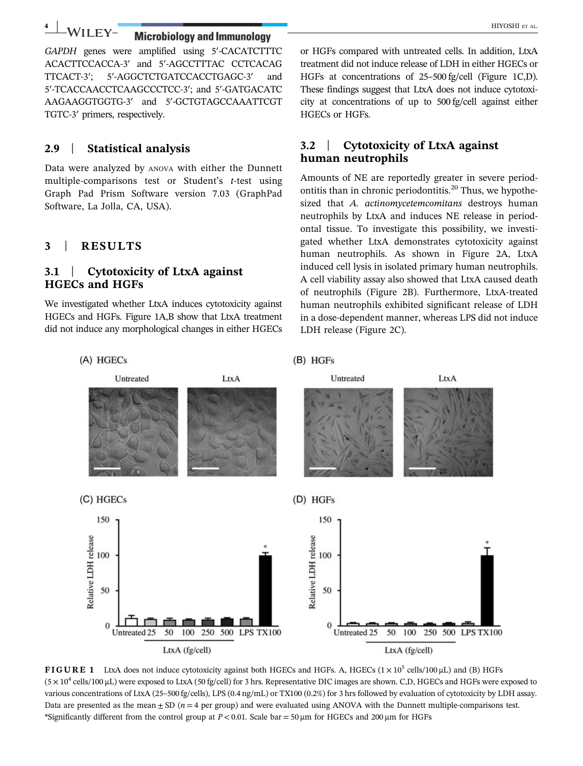# 4 WILEY-Microbiology and Immunology **Account 2018**

GAPDH genes were amplified using 5′‐CACATCTTTC ACACTTCCACCA‐3′ and 5′‐AGCCTTTAC CCTCACAG TTCACT‐3′; 5′‐AGGCTCTGATCCACCTGAGC‐3′ and 5′‐TCACCAACCTCAAGCCCTCC‐3′; and 5′‐GATGACATC AAGAAGGTGGTG‐3′ and 5′‐GCTGTAGCCAAATTCGT TGTC‐3′ primers, respectively.

## 2.9 | Statistical analysis

Data were analyzed by ANOVA with either the Dunnett multiple-comparisons test or Student's  $t$ -test using Graph Pad Prism Software version 7.03 (GraphPad Software, La Jolla, CA, USA).

## 3 | RESULTS

#### 3.1 | Cytotoxicity of LtxA against HGECs and HGFs

We investigated whether LtxA induces cytotoxicity against HGECs and HGFs. Figure 1A,B show that LtxA treatment did not induce any morphological changes in either HGECs or HGFs compared with untreated cells. In addition, LtxA treatment did not induce release of LDH in either HGECs or HGFs at concentrations of 25–500 fg/cell (Figure 1C,D). These findings suggest that LtxA does not induce cytotoxicity at concentrations of up to 500 fg/cell against either HGECs or HGFs.

## 3.2 | Cytotoxicity of LtxA against human neutrophils

Amounts of NE are reportedly greater in severe periodontitis than in chronic periodontitis.<sup>20</sup> Thus, we hypothesized that A. actinomycetemcomitans destroys human neutrophils by LtxA and induces NE release in periodontal tissue. To investigate this possibility, we investigated whether LtxA demonstrates cytotoxicity against human neutrophils. As shown in Figure 2A, LtxA induced cell lysis in isolated primary human neutrophils. A cell viability assay also showed that LtxA caused death of neutrophils (Figure 2B). Furthermore, LtxA‐treated human neutrophils exhibited significant release of LDH in a dose‐dependent manner, whereas LPS did not induce LDH release (Figure 2C).



FIGURE 1 LtxA does not induce cytotoxicity against both HGECs and HGFs. A, HGECs  $(1 \times 10^5 \text{ cells}/100 \,\mu\text{L})$  and (B) HGFs  $(5 \times 10^4 \text{ cells}/100 \,\mu\text{L})$  were exposed to LtxA (50 fg/cell) for 3 hrs. Representative DIC images are shown. C,D, HGECs and HGFs were exposed to various concentrations of LtxA (25–500 fg/cells), LPS (0.4 ng/mL) or TX100 (0.2%) for 3 hrs followed by evaluation of cytotoxicity by LDH assay. Data are presented as the mean  $\pm$  SD (*n* = 4 per group) and were evaluated using ANOVA with the Dunnett multiple-comparisons test. \*Significantly different from the control group at  $P < 0.01$ . Scale bar = 50  $\mu$ m for HGECs and 200  $\mu$ m for HGFs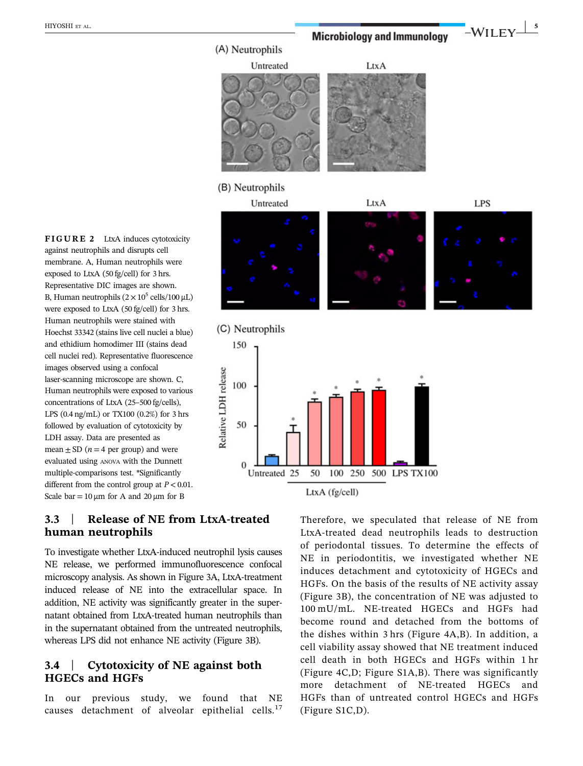HIYOSHI ET AL. **Microbiology and Immunology**  $-WILEY \frac{1}{5}$ 

LtxA

LtxA

(A) Neutrophils

(B) Neutrophils

Relative LDH release

Untreated

Untreated

LPS

FIGURE 2 LtxA induces cytotoxicity against neutrophils and disrupts cell membrane. A, Human neutrophils were exposed to LtxA (50 fg/cell) for 3 hrs. Representative DIC images are shown. B, Human neutrophils  $(2 \times 10^5 \text{ cells}/100 \,\mu\text{L})$ were exposed to LtxA (50 fg/cell) for 3 hrs. Human neutrophils were stained with Hoechst 33342 (stains live cell nuclei a blue) and ethidium homodimer III (stains dead cell nuclei red). Representative fluorescence images observed using a confocal laser‐scanning microscope are shown. C, Human neutrophils were exposed to various concentrations of LtxA (25–500 fg/cells), LPS (0.4 ng/mL) or TX100 (0.2%) for 3 hrs followed by evaluation of cytotoxicity by LDH assay. Data are presented as mean  $\pm$  SD (*n* = 4 per group) and were evaluated using ANOVA with the Dunnett multiple‐comparisons test. \*Significantly different from the control group at  $P < 0.01$ . Scale bar =  $10 \mu m$  for A and  $20 \mu m$  for B

## 3.3 | Release of NE from LtxA‐treated human neutrophils

To investigate whether LtxA‐induced neutrophil lysis causes NE release, we performed immunofluorescence confocal microscopy analysis. As shown in Figure 3A, LtxA‐treatment induced release of NE into the extracellular space. In addition, NE activity was significantly greater in the supernatant obtained from LtxA‐treated human neutrophils than in the supernatant obtained from the untreated neutrophils, whereas LPS did not enhance NE activity (Figure 3B).

## 3.4 | Cytotoxicity of NE against both HGECs and HGFs

In our previous study, we found that NE causes detachment of alveolar epithelial cells.<sup>17</sup>

Therefore, we speculated that release of NE from LtxA‐treated dead neutrophils leads to destruction of periodontal tissues. To determine the effects of NE in periodontitis, we investigated whether NE induces detachment and cytotoxicity of HGECs and HGFs. On the basis of the results of NE activity assay (Figure 3B), the concentration of NE was adjusted to 100 mU/mL. NE‐treated HGECs and HGFs had become round and detached from the bottoms of the dishes within 3 hrs (Figure 4A,B). In addition, a cell viability assay showed that NE treatment induced cell death in both HGECs and HGFs within 1 hr (Figure 4C,D; Figure S1A,B). There was significantly more detachment of NE‐treated HGECs and HGFs than of untreated control HGECs and HGFs (Figure S1C,D).



LtxA (fg/cell)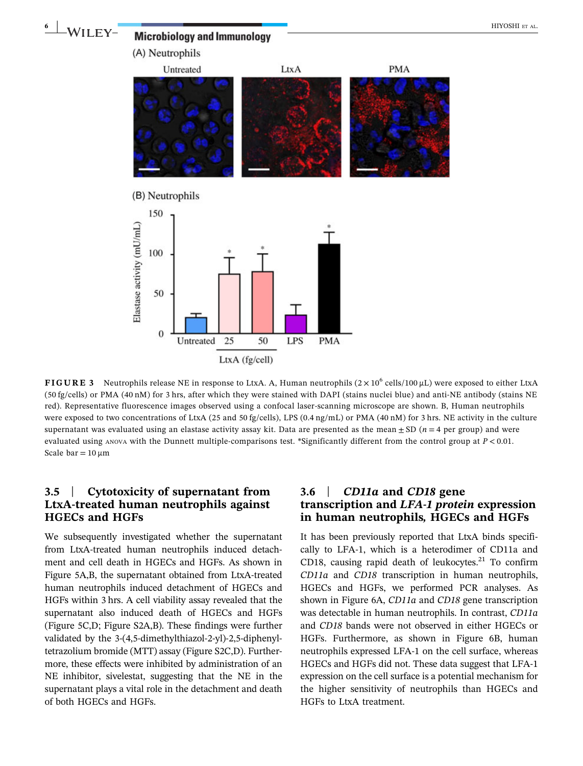

**FIGURE 3** Neutrophils release NE in response to LtxA. A, Human neutrophils  $(2 \times 10^6 \text{ cells}/100 \mu\text{L})$  were exposed to either LtxA (50 fg/cells) or PMA (40 nM) for 3 hrs, after which they were stained with DAPI (stains nuclei blue) and anti‐NE antibody (stains NE red). Representative fluorescence images observed using a confocal laser‐scanning microscope are shown. B, Human neutrophils were exposed to two concentrations of LtxA (25 and 50 fg/cells), LPS (0.4 ng/mL) or PMA (40 nM) for 3 hrs. NE activity in the culture supernatant was evaluated using an elastase activity assay kit. Data are presented as the mean  $\pm$  SD ( $n = 4$  per group) and were evaluated using ANOVA with the Dunnett multiple-comparisons test. \*Significantly different from the control group at  $P < 0.01$ . Scale  $bar = 10 \mu m$ 

## 3.5 | Cytotoxicity of supernatant from LtxA‐treated human neutrophils against HGECs and HGFs

We subsequently investigated whether the supernatant from LtxA‐treated human neutrophils induced detachment and cell death in HGECs and HGFs. As shown in Figure 5A,B, the supernatant obtained from LtxA‐treated human neutrophils induced detachment of HGECs and HGFs within 3 hrs. A cell viability assay revealed that the supernatant also induced death of HGECs and HGFs (Figure 5C,D; Figure S2A,B). These findings were further validated by the 3‐(4,5‐dimethylthiazol‐2‐yl)‐2,5‐diphenyltetrazolium bromide (MTT) assay (Figure S2C,D). Furthermore, these effects were inhibited by administration of an NE inhibitor, sivelestat, suggesting that the NE in the supernatant plays a vital role in the detachment and death of both HGECs and HGFs.

### 3.6 CD11a and CD18 gene<br>transcrintion and LFA-1 proter transcription and *LFA-1 protein* expression<br>in human neutrophils. HGECs and HGFs in human neutrophils, HGECs and HGFs

It has been previously reported that LtxA binds specifically to LFA‐1, which is a heterodimer of CD11a and CD18, causing rapid death of leukocytes. $21$  To confirm CD11a and CD18 transcription in human neutrophils, HGECs and HGFs, we performed PCR analyses. As shown in Figure 6A, CD11a and CD18 gene transcription was detectable in human neutrophils. In contrast, CD11a and CD18 bands were not observed in either HGECs or HGFs. Furthermore, as shown in Figure 6B, human neutrophils expressed LFA‐1 on the cell surface, whereas HGECs and HGFs did not. These data suggest that LFA‐1 expression on the cell surface is a potential mechanism for the higher sensitivity of neutrophils than HGECs and HGFs to LtxA treatment.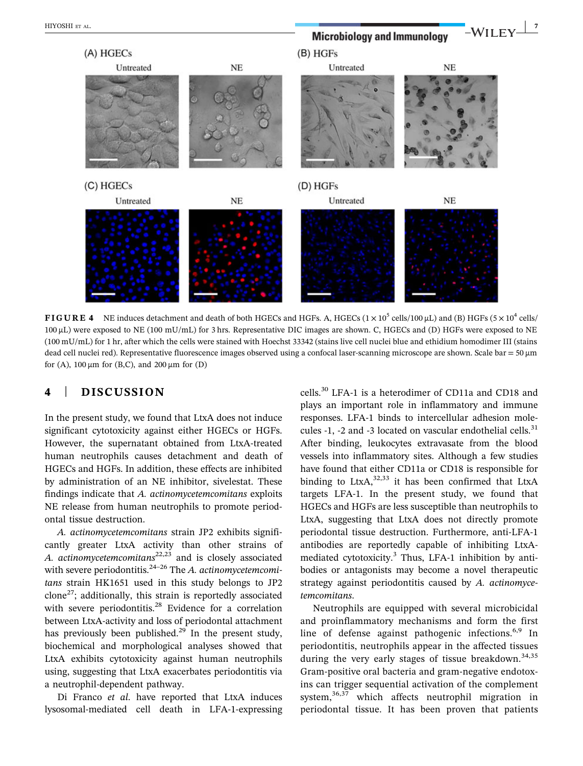HIYOSHI ET AL. **Microbiology and Immunology WILEY** (A) HGECs  $(B)$  HGFs **NE** Untreated **NE** Untreated (C) HGECs (D) HGFs Untreated **NE** Untreated **NE** 

FIGURE 4 NE induces detachment and death of both HGECs and HGFs. A, HGECs  $(1 \times 10^5 \text{ cells}/100 \,\mu\text{L})$  and (B) HGFs  $(5 \times 10^4 \text{ cells}/100 \,\mu\text{C})$ 100 μL) were exposed to NE (100 mU/mL) for 3 hrs. Representative DIC images are shown. C, HGECs and (D) HGFs were exposed to NE (100 mU/mL) for 1 hr, after which the cells were stained with Hoechst 33342 (stains live cell nuclei blue and ethidium homodimer III (stains dead cell nuclei red). Representative fluorescence images observed using a confocal laser-scanning microscope are shown. Scale bar = 50 µm for (A),  $100 \mu m$  for (B,C), and  $200 \mu m$  for (D)

## 4 | DISCUSSION

In the present study, we found that LtxA does not induce significant cytotoxicity against either HGECs or HGFs. However, the supernatant obtained from LtxA‐treated human neutrophils causes detachment and death of HGECs and HGFs. In addition, these effects are inhibited by administration of an NE inhibitor, sivelestat. These findings indicate that A. actinomycetemcomitans exploits NE release from human neutrophils to promote periodontal tissue destruction.

A. actinomycetemcomitans strain JP2 exhibits significantly greater LtxA activity than other strains of A. actinomycetemcomitans<sup>22,23</sup> and is closely associated with severe periodontitis.<sup>24-26</sup> The A. actinomycetemcomitans strain HK1651 used in this study belongs to JP2 clone27; additionally, this strain is reportedly associated with severe periodontitis.<sup>28</sup> Evidence for a correlation between LtxA‐activity and loss of periodontal attachment has previously been published.<sup>29</sup> In the present study, biochemical and morphological analyses showed that LtxA exhibits cytotoxicity against human neutrophils using, suggesting that LtxA exacerbates periodontitis via a neutrophil‐dependent pathway.

Di Franco et al. have reported that LtxA induces lysosomal‐mediated cell death in LFA‐1‐expressing

cells.30 LFA‐1 is a heterodimer of CD11a and CD18 and plays an important role in inflammatory and immune responses. LFA‐1 binds to intercellular adhesion molecules  $-1$ ,  $-2$  and  $-3$  located on vascular endothelial cells.<sup>31</sup> After binding, leukocytes extravasate from the blood vessels into inflammatory sites. Although a few studies have found that either CD11a or CD18 is responsible for binding to  $LtxA$ ,  $32,33$  it has been confirmed that  $LtxA$ targets LFA‐1. In the present study, we found that HGECs and HGFs are less susceptible than neutrophils to LtxA, suggesting that LtxA does not directly promote periodontal tissue destruction. Furthermore, anti‐LFA‐1 antibodies are reportedly capable of inhibiting LtxA‐ mediated cytotoxicity.<sup>3</sup> Thus, LFA-1 inhibition by antibodies or antagonists may become a novel therapeutic strategy against periodontitis caused by A. actinomycetemcomitans.

Neutrophils are equipped with several microbicidal and proinflammatory mechanisms and form the first line of defense against pathogenic infections.<sup>6,9</sup> In periodontitis, neutrophils appear in the affected tissues during the very early stages of tissue breakdown.<sup>34,35</sup> Gram‐positive oral bacteria and gram‐negative endotoxins can trigger sequential activation of the complement system,<sup>36,37</sup> which affects neutrophil migration in periodontal tissue. It has been proven that patients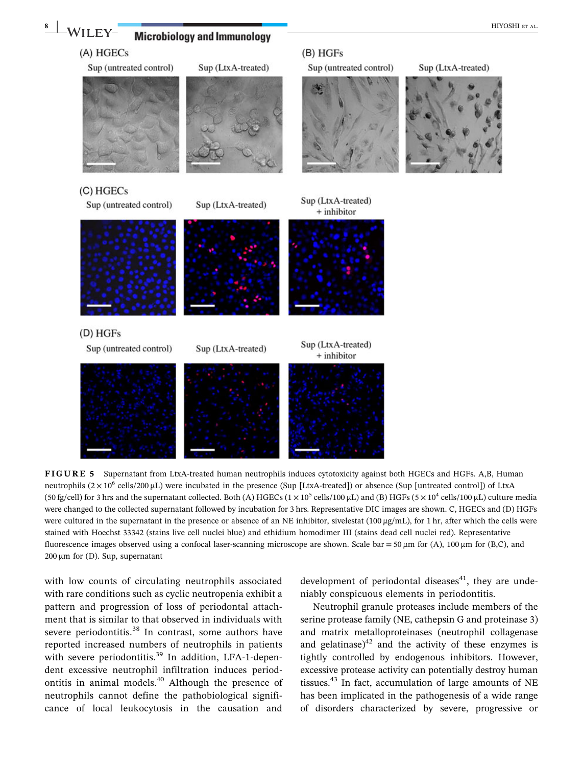

neutrophils  $(2 \times 10^6 \text{ cells}/200 \mu\text{L})$  were incubated in the presence (Sup [LtxA-treated]) or absence (Sup [untreated control]) of LtxA (50 fg/cell) for 3 hrs and the supernatant collected. Both (A) HGECs ( $1 \times 10^5$  cells/100  $\mu$ L) and (B) HGFs ( $5 \times 10^4$  cells/100  $\mu$ L) culture media were changed to the collected supernatant followed by incubation for 3 hrs. Representative DIC images are shown. C, HGECs and (D) HGFs were cultured in the supernatant in the presence or absence of an NE inhibitor, sivelestat (100 μg/mL), for 1 hr, after which the cells were stained with Hoechst 33342 (stains live cell nuclei blue) and ethidium homodimer III (stains dead cell nuclei red). Representative fluorescence images observed using a confocal laser-scanning microscope are shown. Scale bar = 50  $\mu$ m for (A), 100  $\mu$ m for (B,C), and  $200 \mu m$  for (D). Sup, supernatant

with low counts of circulating neutrophils associated with rare conditions such as cyclic neutropenia exhibit a pattern and progression of loss of periodontal attachment that is similar to that observed in individuals with severe periodontitis.<sup>38</sup> In contrast, some authors have reported increased numbers of neutrophils in patients with severe periodontitis.<sup>39</sup> In addition, LFA-1-dependent excessive neutrophil infiltration induces periodontitis in animal models.<sup>40</sup> Although the presence of neutrophils cannot define the pathobiological significance of local leukocytosis in the causation and development of periodontal diseases $41$ , they are undeniably conspicuous elements in periodontitis.

Neutrophil granule proteases include members of the serine protease family (NE, cathepsin G and proteinase 3) and matrix metalloproteinases (neutrophil collagenase and gelatinase) $^{42}$  and the activity of these enzymes is tightly controlled by endogenous inhibitors. However, excessive protease activity can potentially destroy human tissues. $43$  In fact, accumulation of large amounts of NE has been implicated in the pathogenesis of a wide range of disorders characterized by severe, progressive or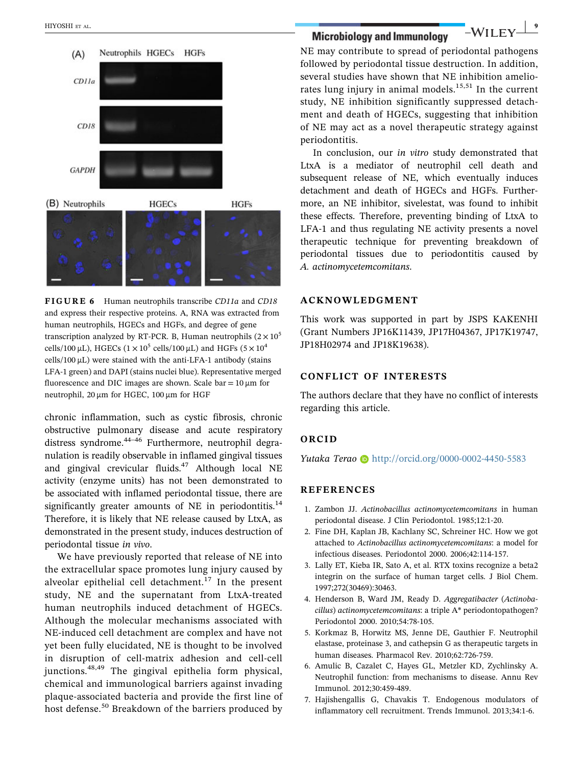

FIGURE 6 Human neutrophils transcribe CD11a and CD18 and express their respective proteins. A, RNA was extracted from human neutrophils, HGECs and HGFs, and degree of gene transcription analyzed by RT-PCR. B, Human neutrophils  $(2 \times 10^5$ cells/100  $\mu$ L), HGECs (1 × 10<sup>5</sup> cells/100  $\mu$ L) and HGFs (5 × 10<sup>4</sup>  $cells/100 \mu L$ ) were stained with the anti-LFA-1 antibody (stains LFA-1 green) and DAPI (stains nuclei blue). Representative merged fluorescence and DIC images are shown. Scale bar =  $10 \mu m$  for neutrophil, 20 μm for HGEC, 100 μm for HGF

chronic inflammation, such as cystic fibrosis, chronic obstructive pulmonary disease and acute respiratory distress syndrome.<sup>44-46</sup> Furthermore, neutrophil degranulation is readily observable in inflamed gingival tissues and gingival crevicular fluids.<sup>47</sup> Although local NE activity (enzyme units) has not been demonstrated to be associated with inflamed periodontal tissue, there are significantly greater amounts of NE in periodontitis. $14$ Therefore, it is likely that NE release caused by LtxA, as demonstrated in the present study, induces destruction of periodontal tissue in vivo.

We have previously reported that release of NE into the extracellular space promotes lung injury caused by alveolar epithelial cell detachment.<sup>17</sup> In the present study, NE and the supernatant from LtxA‐treated human neutrophils induced detachment of HGECs. Although the molecular mechanisms associated with NE‐induced cell detachment are complex and have not yet been fully elucidated, NE is thought to be involved in disruption of cell‐matrix adhesion and cell‐cell junctions.48,49 The gingival epithelia form physical, chemical and immunological barriers against invading plaque‐associated bacteria and provide the first line of host defense.<sup>50</sup> Breakdown of the barriers produced by

NE may contribute to spread of periodontal pathogens followed by periodontal tissue destruction. In addition, several studies have shown that NE inhibition ameliorates lung injury in animal models. $15,51$  In the current study, NE inhibition significantly suppressed detachment and death of HGECs, suggesting that inhibition of NE may act as a novel therapeutic strategy against periodontitis.

In conclusion, our in vitro study demonstrated that LtxA is a mediator of neutrophil cell death and subsequent release of NE, which eventually induces detachment and death of HGECs and HGFs. Furthermore, an NE inhibitor, sivelestat, was found to inhibit these effects. Therefore, preventing binding of LtxA to LFA-1 and thus regulating NE activity presents a novel therapeutic technique for preventing breakdown of periodontal tissues due to periodontitis caused by A. actinomycetemcomitans.

#### ACKNOWLEDGMENT

This work was supported in part by JSPS KAKENHI (Grant Numbers JP16K11439, JP17H04367, JP17K19747, JP18H02974 and JP18K19638).

#### CONFLICT OF INTERESTS

The authors declare that they have no conflict of interests regarding this article.

#### ORCID

Yutaka Terao i <http://orcid.org/0000-0002-4450-5583>

#### REFERENCES

- 1. Zambon JJ. Actinobacillus actinomycetemcomitans in human periodontal disease. J Clin Periodontol. 1985;12:1‐20.
- 2. Fine DH, Kaplan JB, Kachlany SC, Schreiner HC. How we got attached to Actinobacillus actinomycetemcomitans: a model for infectious diseases. Periodontol 2000. 2006;42:114‐157.
- 3. Lally ET, Kieba IR, Sato A, et al. RTX toxins recognize a beta2 integrin on the surface of human target cells. J Biol Chem. 1997;272(30469):30463.
- 4. Henderson B, Ward JM, Ready D. Aggregatibacter (Actinobacillus) actinomycetemcomitans: a triple A\* periodontopathogen? Periodontol 2000. 2010;54:78‐105.
- 5. Korkmaz B, Horwitz MS, Jenne DE, Gauthier F. Neutrophil elastase, proteinase 3, and cathepsin G as therapeutic targets in human diseases. Pharmacol Rev. 2010;62:726‐759.
- 6. Amulic B, Cazalet C, Hayes GL, Metzler KD, Zychlinsky A. Neutrophil function: from mechanisms to disease. Annu Rev Immunol. 2012;30:459‐489.
- 7. Hajishengallis G, Chavakis T. Endogenous modulators of inflammatory cell recruitment. Trends Immunol. 2013;34:1‐6.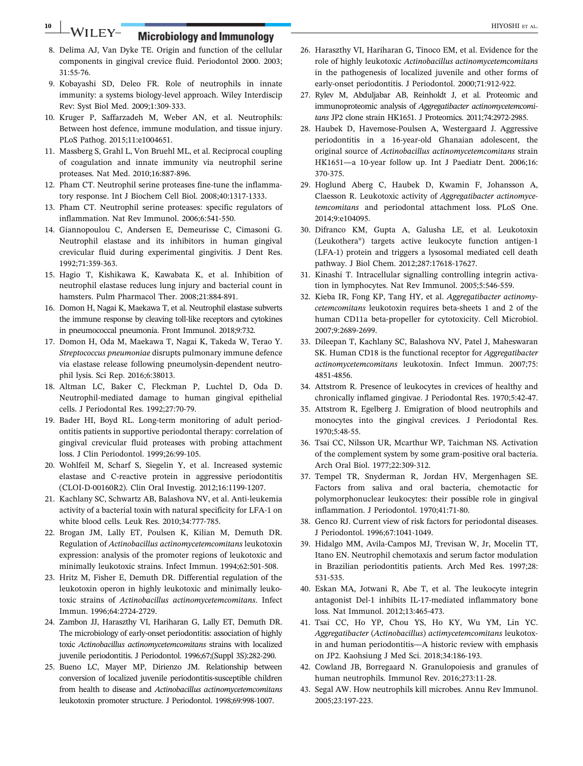## 10 WILEY- Microbiology and Immunology **Example 2018** HIYOSHI ET AL.

- 8. Delima AJ, Van Dyke TE. Origin and function of the cellular components in gingival crevice fluid. Periodontol 2000. 2003; 31:55‐76.
- 9. Kobayashi SD, Deleo FR. Role of neutrophils in innate immunity: a systems biology-level approach. Wiley Interdiscip Rev: Syst Biol Med. 2009;1:309‐333.
- 10. Kruger P, Saffarzadeh M, Weber AN, et al. Neutrophils: Between host defence, immune modulation, and tissue injury. PLoS Pathog. 2015;11:e1004651.
- 11. Massberg S, Grahl L, Von Bruehl ML, et al. Reciprocal coupling of coagulation and innate immunity via neutrophil serine proteases. Nat Med. 2010;16:887‐896.
- 12. Pham CT. Neutrophil serine proteases fine‐tune the inflammatory response. Int J Biochem Cell Biol. 2008;40:1317‐1333.
- 13. Pham CT. Neutrophil serine proteases: specific regulators of inflammation. Nat Rev Immunol. 2006;6:541‐550.
- 14. Giannopoulou C, Andersen E, Demeurisse C, Cimasoni G. Neutrophil elastase and its inhibitors in human gingival crevicular fluid during experimental gingivitis. J Dent Res. 1992;71:359‐363.
- 15. Hagio T, Kishikawa K, Kawabata K, et al. Inhibition of neutrophil elastase reduces lung injury and bacterial count in hamsters. Pulm Pharmacol Ther. 2008;21:884‐891.
- 16. Domon H, Nagai K, Maekawa T, et al. Neutrophil elastase subverts the immune response by cleaving toll‐like receptors and cytokines in pneumococcal pneumonia. Front Immunol. 2018;9:732.
- 17. Domon H, Oda M, Maekawa T, Nagai K, Takeda W, Terao Y. Streptococcus pneumoniae disrupts pulmonary immune defence via elastase release following pneumolysin‐dependent neutrophil lysis. Sci Rep. 2016;6:38013.
- 18. Altman LC, Baker C, Fleckman P, Luchtel D, Oda D. Neutrophil‐mediated damage to human gingival epithelial cells. J Periodontal Res. 1992;27:70‐79.
- 19. Bader HI, Boyd RL. Long‐term monitoring of adult periodontitis patients in supportive periodontal therapy: correlation of gingival crevicular fluid proteases with probing attachment loss. J Clin Periodontol. 1999;26:99‐105.
- 20. Wohlfeil M, Scharf S, Siegelin Y, et al. Increased systemic elastase and C‐reactive protein in aggressive periodontitis (CLOI‐D‐00160R2). Clin Oral Investig. 2012;16:1199‐1207.
- 21. Kachlany SC, Schwartz AB, Balashova NV, et al. Anti‐leukemia activity of a bacterial toxin with natural specificity for LFA‐1 on white blood cells. Leuk Res. 2010;34:777‐785.
- 22. Brogan JM, Lally ET, Poulsen K, Kilian M, Demuth DR. Regulation of Actinobacillus actinomycetemcomitans leukotoxin expression: analysis of the promoter regions of leukotoxic and minimally leukotoxic strains. Infect Immun. 1994;62:501‐508.
- 23. Hritz M, Fisher E, Demuth DR. Differential regulation of the leukotoxin operon in highly leukotoxic and minimally leukotoxic strains of Actinobacillus actinomycetemcomitans. Infect Immun. 1996;64:2724‐2729.
- 24. Zambon JJ, Haraszthy VI, Hariharan G, Lally ET, Demuth DR. The microbiology of early-onset periodontitis: association of highly toxic Actinobacillus actinomycetemcomitans strains with localized juvenile periodontitis. J Periodontol. 1996;67;(Suppl 3S):282‐290.
- 25. Bueno LC, Mayer MP, Dirienzo JM. Relationship between conversion of localized juvenile periodontitis‐susceptible children from health to disease and Actinobacillus actinomycetemcomitans leukotoxin promoter structure. J Periodontol. 1998;69:998‐1007.
- 26. Haraszthy VI, Hariharan G, Tinoco EM, et al. Evidence for the role of highly leukotoxic Actinobacillus actinomycetemcomitans in the pathogenesis of localized juvenile and other forms of early‐onset periodontitis. J Periodontol. 2000;71:912‐922.
- 27. Rylev M, Abduljabar AB, Reinholdt J, et al. Proteomic and immunoproteomic analysis of Aggregatibacter actinomycetemcomitans JP2 clone strain HK1651. J Proteomics. 2011;74:2972‐2985.
- 28. Haubek D, Havemose‐Poulsen A, Westergaard J. Aggressive periodontitis in a 16‐year‐old Ghanaian adolescent, the original source of Actinobacillus actinomycetemcomitans strain HK1651—a 10‐year follow up. Int J Paediatr Dent. 2006;16: 370‐375.
- 29. Hoglund Aberg C, Haubek D, Kwamin F, Johansson A, Claesson R. Leukotoxic activity of Aggregatibacter actinomycetemcomitans and periodontal attachment loss. PLoS One. 2014;9:e104095.
- 30. Difranco KM, Gupta A, Galusha LE, et al. Leukotoxin (Leukothera®) targets active leukocyte function antigen‐1 (LFA‐1) protein and triggers a lysosomal mediated cell death pathway. J Biol Chem. 2012;287:17618‐17627.
- 31. Kinashi T. Intracellular signalling controlling integrin activation in lymphocytes. Nat Rev Immunol. 2005;5:546‐559.
- 32. Kieba IR, Fong KP, Tang HY, et al. Aggregatibacter actinomycetemcomitans leukotoxin requires beta‐sheets 1 and 2 of the human CD11a beta‐propeller for cytotoxicity. Cell Microbiol. 2007;9:2689‐2699.
- 33. Dileepan T, Kachlany SC, Balashova NV, Patel J, Maheswaran SK. Human CD18 is the functional receptor for Aggregatibacter actinomycetemcomitans leukotoxin. Infect Immun. 2007;75: 4851‐4856.
- 34. Attstrom R. Presence of leukocytes in crevices of healthy and chronically inflamed gingivae. J Periodontal Res. 1970;5:42‐47.
- 35. Attstrom R, Egelberg J. Emigration of blood neutrophils and monocytes into the gingival crevices. J Periodontal Res. 1970;5:48‐55.
- 36. Tsai CC, Nilsson UR, Mcarthur WP, Taichman NS. Activation of the complement system by some gram‐positive oral bacteria. Arch Oral Biol. 1977;22:309‐312.
- 37. Tempel TR, Snyderman R, Jordan HV, Mergenhagen SE. Factors from saliva and oral bacteria, chemotactic for polymorphonuclear leukocytes: their possible role in gingival inflammation. J Periodontol. 1970;41:71‐80.
- 38. Genco RJ. Current view of risk factors for periodontal diseases. J Periodontol. 1996;67:1041‐1049.
- 39. Hidalgo MM, Avila‐Campos MJ, Trevisan W, Jr, Mocelin TT, Itano EN. Neutrophil chemotaxis and serum factor modulation in Brazilian periodontitis patients. Arch Med Res. 1997;28: 531‐535.
- 40. Eskan MA, Jotwani R, Abe T, et al. The leukocyte integrin antagonist Del‐1 inhibits IL‐17‐mediated inflammatory bone loss. Nat Immunol. 2012;13:465‐473.
- 41. Tsai CC, Ho YP, Chou YS, Ho KY, Wu YM, Lin YC. Aggregatibacter (Actinobacillus) actimycetemcomitans leukotoxin and human periodontitis—A historic review with emphasis on JP2. Kaohsiung J Med Sci. 2018;34:186‐193.
- 42. Cowland JB, Borregaard N. Granulopoiesis and granules of human neutrophils. Immunol Rev. 2016;273:11‐28.
- 43. Segal AW. How neutrophils kill microbes. Annu Rev Immunol. 2005;23:197‐223.